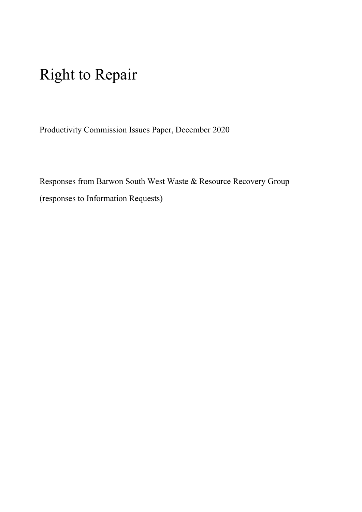# Right to Repair

Productivity Commission Issues Paper, December 2020

Responses from Barwon South West Waste & Resource Recovery Group (responses to Information Requests)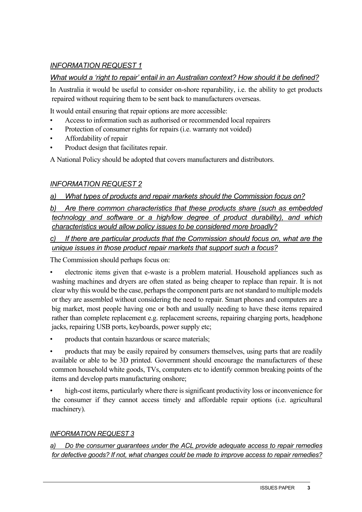# *INFORMATION REQUEST 1*

# *What would a 'right to repair' entail in an Australian context? How should it be defined?*

In Australia it would be useful to consider on-shore reparability, i.e. the ability to get products repaired without requiring them to be sent back to manufacturers overseas.

It would entail ensuring that repair options are more accessible:

- Access to information such as authorised or recommended local repairers
- Protection of consumer rights for repairs (i.e. warranty not voided)
- Affordability of repair
- Product design that facilitates repair.

A National Policy should be adopted that covers manufacturers and distributors.

# *INFORMATION REQUEST 2*

# *a) What types of products and repair markets should the Commission focus on?*

*b) Are there common characteristics that these products share (such as embedded technology and software or a high/low degree of product durability), and which characteristics would allow policy issues to be considered more broadly?*

# *c) If there are particular products that the Commission should focus on, what are the unique issues in those product repair markets that support such a focus?*

The Commission should perhaps focus on:

- electronic items given that e-waste is a problem material. Household appliances such as washing machines and dryers are often stated as being cheaper to replace than repair. It is not clear why this would be the case, perhaps the component parts are not standard to multiple models or they are assembled without considering the need to repair. Smart phones and computers are a big market, most people having one or both and usually needing to have these items repaired rather than complete replacement e.g. replacement screens, repairing charging ports, headphone jacks, repairing USB ports, keyboards, power supply etc;
- products that contain hazardous or scarce materials;
- products that may be easily repaired by consumers themselves, using parts that are readily available or able to be 3D printed. Government should encourage the manufacturers of these common household white goods, TVs, computers etc to identify common breaking points of the items and develop parts manufacturing onshore;
- high-cost items, particularly where there is significant productivity loss or inconvenience for the consumer if they cannot access timely and affordable repair options (i.e. agricultural machinery).

# *INFORMATION REQUEST 3*

## *a) Do the consumer guarantees under the ACL provide adequate access to repair remedies for defective goods? If not, what changes could be made to improve access to repair remedies?*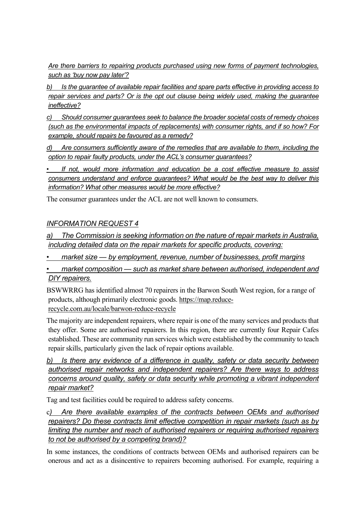*Are there barriers to repairing products purchased using new forms of payment technologies, such as 'buy now pay later'?*

*b) Is the guarantee of available repair facilities and spare parts effective in providing access to repair services and parts? Or is the opt out clause being widely used, making the guarantee ineffective?*

*c) Should consumer guarantees seek to balance the broader societal costs of remedy choices (such as the environmental impacts of replacements) with consumer rights, and if so how? For example, should repairs be favoured as a remedy?*

*d) Are consumers sufficiently aware of the remedies that are available to them, including the option to repair faulty products, under the ACL's consumer guarantees?*

*• If not, would more information and education be a cost effective measure to assist consumers understand and enforce guarantees? What would be the best way to deliver this information? What other measures would be more effective?*

The consumer guarantees under the ACL are not well known to consumers.

## *INFORMATION REQUEST 4*

*a) The Commission is seeking information on the nature of repair markets in Australia, including detailed data on the repair markets for specific products, covering:* 

*• market size — by employment, revenue, number of businesses, profit margins*

*• market composition — such as market share between authorised, independent and DIY repairers.*

BSWWRRG has identified almost 70 repairers in the Barwon South West region, for a range of products, although primarily electronic goods. [https://map.reduce](https://map.reduce-recycle.com.au/locale/barwon-reduce-recycle)[recycle.com.au/locale/barwon-reduce-recycle](https://map.reduce-recycle.com.au/locale/barwon-reduce-recycle)

The majority are independent repairers, where repair is one of the many services and products that they offer. Some are authorised repairers. In this region, there are currently four Repair Cafes established. These are community run services which were established by the community to teach repair skills, particularly given the lack of repair options available.

*b) Is there any evidence of a difference in quality, safety or data security between authorised repair networks and independent repairers? Are there ways to address concerns around quality, safety or data security while promoting a vibrant independent repair market?*

Tag and test facilities could be required to address safety concerns.

c*) Are there available examples of the contracts between OEMs and authorised repairers? Do these contracts limit effective competition in repair markets (such as by limiting the number and reach of authorised repairers or requiring authorised repairers to not be authorised by a competing brand)?*

In some instances, the conditions of contracts between OEMs and authorised repairers can be onerous and act as a disincentive to repairers becoming authorised. For example, requiring a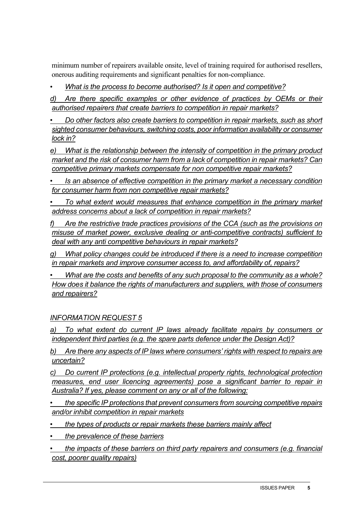minimum number of repairers available onsite, level of training required for authorised resellers, onerous auditing requirements and significant penalties for non-compliance.

• *What is the process to become authorised? Is it open and competitive?* 

*d) Are there specific examples or other evidence of practices by OEMs or their authorised repairers that create barriers to competition in repair markets?*

*• Do other factors also create barriers to competition in repair markets, such as short sighted consumer behaviours, switching costs, poor information availability or consumer lock in?*

*e) What is the relationship between the intensity of competition in the primary product market and the risk of consumer harm from a lack of competition in repair markets? Can competitive primary markets compensate for non competitive repair markets?*

*• Is an absence of effective competition in the primary market a necessary condition for consumer harm from non competitive repair markets?* 

*• To what extent would measures that enhance competition in the primary market address concerns about a lack of competition in repair markets?* 

*f) Are the restrictive trade practices provisions of the CCA (such as the provisions on misuse of market power, exclusive dealing or anti-competitive contracts) sufficient to deal with any anti competitive behaviours in repair markets?*

*g) What policy changes could be introduced if there is a need to increase competition in repair markets and improve consumer access to, and affordability of, repairs?*

*• What are the costs and benefits of any such proposal to the community as a whole? How does it balance the rights of manufacturers and suppliers, with those of consumers and repairers?*

# *INFORMATION REQUEST 5*

*a) To what extent do current IP laws already facilitate repairs by consumers or independent third parties (e.g. the spare parts defence under the Design Act)?*

*b) Are there any aspects of IP laws where consumers' rights with respect to repairs are uncertain?*

*c) Do current IP protections (e.g. intellectual property rights, technological protection measures, end user licencing agreements) pose a significant barrier to repair in Australia? If yes, please comment on any or all of the following:*

*• the specific IP protections that prevent consumers from sourcing competitive repairs and/or inhibit competition in repair markets*

*• the types of products or repair markets these barriers mainly affect* 

*• the prevalence of these barriers* 

*• the impacts of these barriers on third party repairers and consumers (e.g. financial cost, poorer quality repairs)*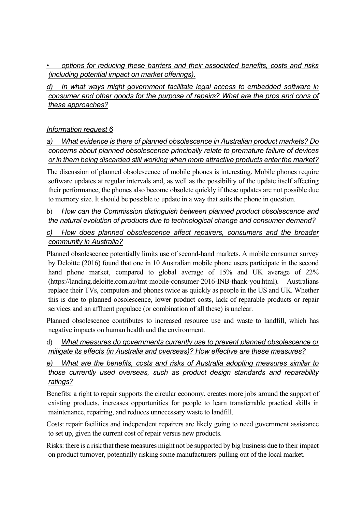*• options for reducing these barriers and their associated benefits, costs and risks (including potential impact on market offerings).* 

*d) In what ways might government facilitate legal access to embedded software in consumer and other goods for the purpose of repairs? What are the pros and cons of these approaches?* 

# *Information request 6*

*a) What evidence is there of planned obsolescence in Australian product markets? Do concerns about planned obsolescence principally relate to premature failure of devices or in them being discarded still working when more attractive products enter the market?*

The discussion of planned obsolescence of mobile phones is interesting. Mobile phones require software updates at regular intervals and, as well as the possibility of the update itself affecting their performance, the phones also become obsolete quickly if these updates are not possible due to memory size. It should be possible to update in a way that suits the phone in question.

#### b) *How can the Commission distinguish between planned product obsolescence and the natural evolution of products due to technological change and consumer demand?*

## *c) How does planned obsolescence affect repairers, consumers and the broader community in Australia?*

Planned obsolescence potentially limits use of second-hand markets. A mobile consumer survey by Deloitte (2016) found that one in 10 Australian mobile phone users participate in the second hand phone market, compared to global average of 15% and UK average of 22% (https://landing.deloitte.com.au/tmt-mobile-consumer-2016-INB-thank-you.html). Australians replace their TVs, computers and phones twice as quickly as people in the US and UK. Whether this is due to planned obsolescence, lower product costs, lack of reparable products or repair services and an affluent populace (or combination of all these) is unclear.

Planned obsolescence contributes to increased resource use and waste to landfill, which has negative impacts on human health and the environment.

## d) *What measures do governments currently use to prevent planned obsolescence or mitigate its effects (in Australia and overseas)? How effective are these measures?*

## *What are the benefits, costs and risks of Australia adopting measures similar to those currently used overseas, such as product design standards and reparability ratings?*

Benefits: a right to repair supports the circular economy, creates more jobs around the support of existing products, increases opportunities for people to learn transferrable practical skills in maintenance, repairing, and reduces unnecessary waste to landfill.

Costs: repair facilities and independent repairers are likely going to need government assistance to set up, given the current cost of repair versus new products.

Risks: there is a risk that these measures might not be supported by big business due to their impact on product turnover, potentially risking some manufacturers pulling out of the local market.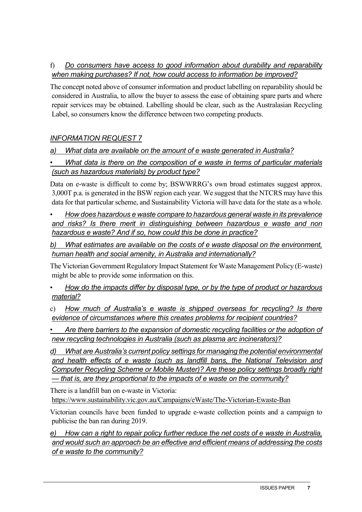# f) *Do consumers have access to good information about durability and reparability when making purchases? If not, how could access to information be improved?*

The concept noted above of consumer information and product labelling on reparability should be considered in Australia, to allow the buyer to assess the ease of obtaining spare parts and where repair services may be obtained. Labelling should be clear, such as the Australasian Recycling Label, so consumers know the difference between two competing products.

# *INFORMATION REQUEST 7*

# *a) What data are available on the amount of e waste generated in Australia?*

# *• What data is there on the composition of e waste in terms of particular materials (such as hazardous materials) by product type?*

Data on e-waste is difficult to come by; BSWWRRG's own broad estimates suggest approx. 3,000T p.a. is generated in the BSW region each year. We suggest that the NTCRS may have this data for that particular scheme, and Sustainability Victoria will have data for the state as a whole.

• *How does hazardous e waste compare to hazardous general waste in its prevalence and risks? Is there merit in distinguishing between hazardous e waste and non hazardous e waste? And if so, how could this be done in practice?*

*b) What estimates are available on the costs of e waste disposal on the environment, human health and social amenity, in Australia and internationally?* 

The Victorian Government Regulatory Impact Statement for Waste Management Policy (E-waste) might be able to provide some information on this.

• *How do the impacts differ by disposal type, or by the type of product or hazardous material?*

c) *How much of Australia's e waste is shipped overseas for recycling? Is there evidence of circumstances where this creates problems for recipient countries?* 

*• Are there barriers to the expansion of domestic recycling facilities or the adoption of new recycling technologies in Australia (such as plasma arc incinerators)?*

*d) What are Australia's current policy settings for managing the potential environmental and health effects of e waste (such as landfill bans, the National Television and Computer Recycling Scheme or Mobile Muster)? Are these policy settings broadly right — that is, are they proportional to the impacts of e waste on the community?* 

There is a landfill ban on e-waste in Victoria: <https://www.sustainability.vic.gov.au/Campaigns/eWaste/The-Victorian-Ewaste-Ban>

Victorian councils have been funded to upgrade e-waste collection points and a campaign to publicise the ban ran during 2019.

*e) How can a right to repair policy further reduce the net costs of e waste in Australia, and would such an approach be an effective and efficient means of addressing the costs of e waste to the community?*